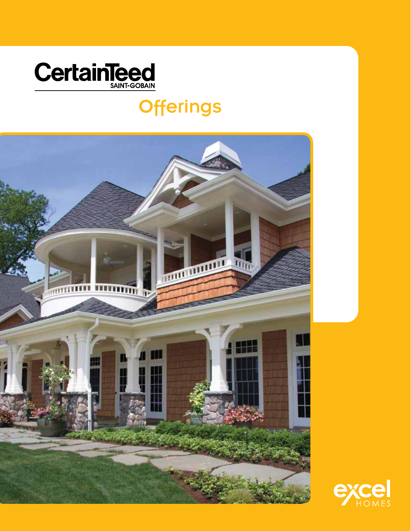

## **Offerings**



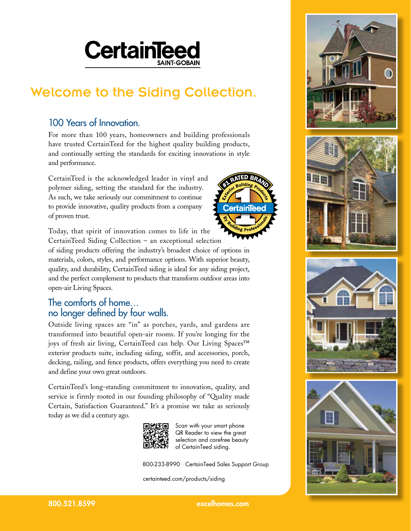# **CertainTee**

### Welcome to the Siding Collection.

#### 100 Years of Innovation.

For more than 100 years, homeowners and building professionals have trusted CertainTeed for the highest quality building products, and continually setting the standards for exciting innovations in style and performance.

CertainTeed is the acknowledged leader in vinyl and polymer siding, setting the standard for the industry. As such, we take seriously our commitment to continue to provide innovative, quality products from a company of proven trust.

Today, that spirit of innovation comes to life in the CertainTeed Siding Collection – an exceptional selection

of siding products offering the industry's broadest choice of options in materials, colors, styles, and performance options. With superior beauty, quality, and durability, CertainTeed siding is ideal for any siding project, and the perfect complement to products that transform outdoor areas into open-air Living Spaces.

#### The comforts of home… no longer defined by four walls.

Outside living spaces are "in" as porches, yards, and gardens are transformed into beautiful open-air rooms. If you're longing for the joys of fresh air living, CertainTeed can help. Our Living Spaces™ exterior products suite, including siding, soffit, and accessories, porch, decking, railing, and fence products, offers everything you need to create and define your own great outdoors.

CertainTeed's long-standing commitment to innovation, quality, and service is firmly rooted in our founding philosophy of "Quality made Certain, Satisfaction Guaranteed." It's a promise we take as seriously today as we did a century ago.



Scan with your smart phone QR Reader to view the great selection and carefree beauty of CertainTeed siding.

rtainle

800-233-8990 CertainTeed Sales Support Group

certainteed.com/products/siding









800.521.8599 excelhomes.com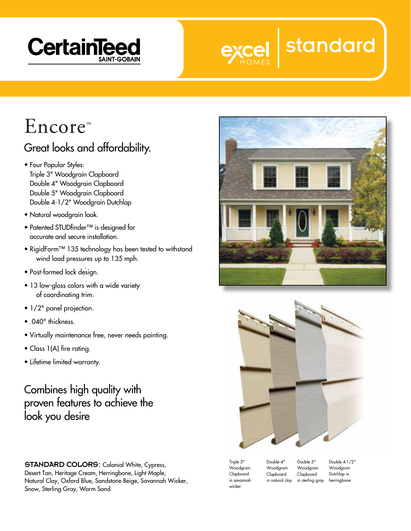



# $\rm{Encoder}$

#### Great looks and affordability.

- Four Popular Styles: Triple 3" Woodgrain Clapboard Double 4" Woodgrain Clapboard Double 5" Woodgrain Clapboard Double 4-1/2" Woodgrain Dutchlap
- Natural woodgrain look.
- Patented STUDfinder™ is designed for accurate and secure installation.
- RigidForm™ 135 technology has been tested to withstand wind load pressures up to 135 mph.
- . • Post-formed lock design.
- 13 low-gloss colors with a wide variety of coordinating trim.
- 1/2" panel projection.
- .040" thickness.
- Virtually maintenance free, never needs painting.
- Class 1(A) fire rating.
- Lifetime limited warranty.

Combines high quality with proven features to achieve the look you desire

STANDARD COLORS: Colonial White, Cypress, Desert Tan, Heritage Cream, Herringbone, Light Maple, Natural Clay, Oxford Blue, Sandstone Beige, Savannah Wicker, Snow, Sterling Gray, Warm Sand





Triple 3" Woodgrain Clapboard in savannah wicker

Double 4" Woodgrain Clapboard in natural clay Double 5" Woodgrain Clapboard in sterling gray

Double 4-1/2" Woodgrain Dutchlap in herringbone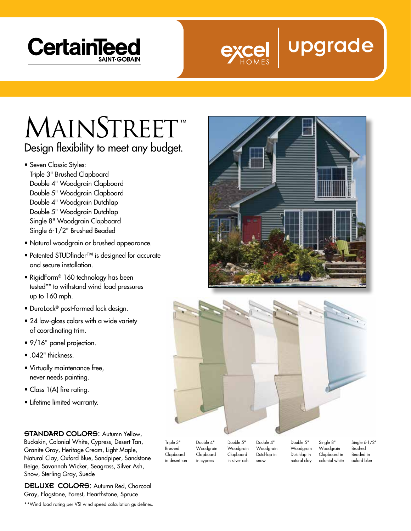



## **MAINSTREET** Design flexibility to meet any budget.

- Seven Classic Styles: Triple 3" Brushed Clapboard Double 4" Woodgrain Clapboard Double 5" Woodgrain Clapboard Double 4" Woodgrain Dutchlap Double 5" Woodgrain Dutchlap Single 8" Woodgrain Clapboard Single 6-1/2" Brushed Beaded
- Natural woodgrain or brushed appearance.
- Patented STUDfinder™ is designed for accurate and secure installation.
- RigidForm® 160 technology has been tested\*\* to withstand wind load pressures up to 160 mph.
- DuraLock® post-formed lock design.
- 24 low-gloss colors with a wide variety of coordinating trim.
- 9/16" panel projection.
- .042" thickness.
- Virtually maintenance free, never needs painting.
- Class 1(A) fire rating.
- Lifetime limited warranty.

#### STANDARD COLORS: Autumn Yellow,

Buckskin, Colonial White, Cypress, Desert Tan, Granite Gray, Heritage Cream, Light Maple, Natural Clay, Oxford Blue, Sandpiper, Sandstone Beige, Savannah Wicker, Seagrass, Silver Ash, Snow, Sterling Gray, Suede

DELUXE COLORS: Autumn Red, Charcoal Gray, Flagstone, Forest, Hearthstone, Spruce

\*\*Wind load rating per VSI wind speed calculation guidelines.





Brushed Clapboard in desert tan Woodgrain Clapboard in cypress

Woodgrain Clapboard in silver ash Double 4" Woodgrain Dutchlap in snow

Double 5" Woodgrain Dutchlap in natural clay

Woodgrain Clapboard in colonial white

Single 6-1/2" Brushed Beaded in oxford blue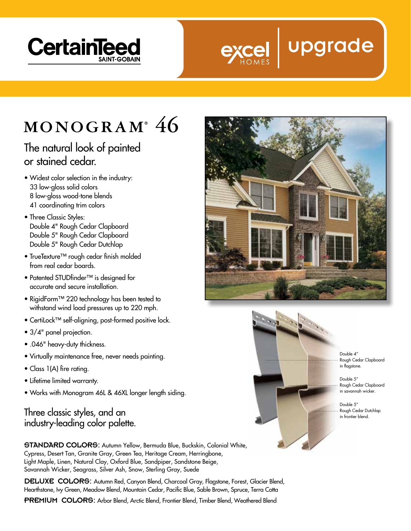



## MONOGRAM<sup>®</sup> 46

#### The natural look of painted or stained cedar.

- Widest color selection in the industry: 33 low-gloss solid colors 8 low-gloss wood-tone blends 41 coordinating trim colors
- Three Classic Styles: Double 4" Rough Cedar Clapboard Double 5" Rough Cedar Clapboard Double 5" Rough Cedar Dutchlap
- TrueTexture™ rough cedar finish molded from real cedar boards.
- Patented STUDfinder™ is designed for accurate and secure installation.
- RigidForm™ 220 technology has been tested to withstand wind load pressures up to 220 mph.
- CertiLock™ self-aligning, post-formed positive lock.
- 3/4" panel projection.
- .046" heavy-duty thickness.
- Virtually maintenance free, never needs painting.
- Class 1(A) fire rating.
- Lifetime limited warranty.
- Works with Monogram 46L & 46XL longer length siding.

#### Three classic styles, and an industry-leading color palette.



DELUXE COLORS: Autumn Red, Canyon Blend, Charcoal Gray, Flagstone, Forest, Glacier Blend, Hearthstone, Ivy Green, Meadow Blend, Mountain Cedar, Pacific Blue, Sable Brown, Spruce, Terra Cotta

PREMIUM COLORS: Arbor Blend, Arctic Blend, Frontier Blend, Timber Blend, Weathered Blend





Double 4" Rough Cedar Clapboard in flagstone.

Double 5" Rough Cedar Clapboard in savannah wicker.

Double 5" Rough Cedar Dutchlap in frontier blend.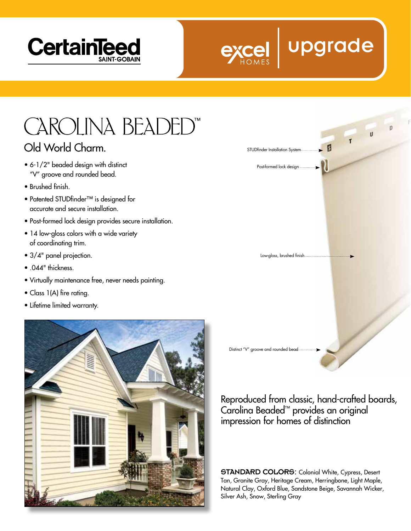



# **CAROLINA BEADED"**

#### Old World Charm.

- 6-1/2" beaded design with distinct "V" groove and rounded bead.
- Brushed finish.
- Patented STUDfinder™ is designed for accurate and secure installation.
- Post-formed lock design provides secure installation.
- 14 low-gloss colors with a wide variety of coordinating trim.
- 3/4" panel projection.
- .044" thickness.
- Virtually maintenance free, never needs painting.
- Class 1(A) fire rating.
- Lifetime limited warranty.





Reproduced from classic, hand-crafted boards, Carolina Beaded™ provides an original impression for homes of distinction

STANDARD COLORS: Colonial White, Cypress, Desert Tan, Granite Gray, Heritage Cream, Herringbone, Light Maple, Natural Clay, Oxford Blue, Sandstone Beige, Savannah Wicker, Silver Ash, Snow, Sterling Gray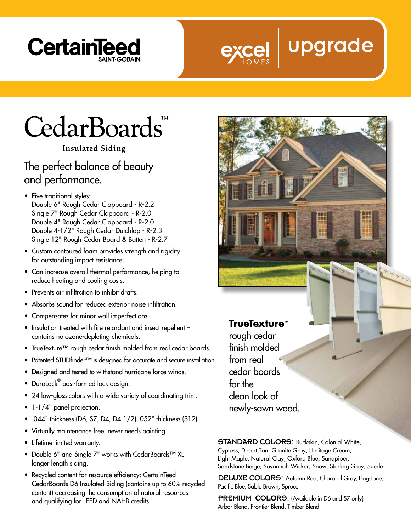



# **CedarBoards**

**Insulated Siding** 

#### The perfect balance of beauty and performance.

- Five traditional styles: Double 6" Rough Cedar Clapboard - R-2.2 Single 7" Rough Cedar Clapboard - R-2.0 Double 4" Rough Cedar Clapboard - R-2.0 Double 4-1/2" Rough Cedar Dutchlap - R-2.3 Single 12" Rough Cedar Board & Batten - R-2.7
- Custom contoured foam provides strength and rigidity for outstanding impact resistance.
- Can increase overall thermal performance, helping to reduce heating and cooling costs.
- Prevents air infiltration to inhibit drafts.
- Absorbs sound for reduced exterior noise infiltration.
- Compensates for minor wall imperfections.
- Insulation treated with fire retardant and insect repellent contains no ozone-depleting chemicals.
- TrueTexture™ rough cedar finish molded from real cedar boards.
- Patented STUDfinder™ is designed for accurate and secure installation.
- Designed and tested to withstand hurricane force winds.
- $\bullet$  DuraLock $^\circ$  post-formed lock design.
- 24 low-gloss colors with a wide variety of coordinating trim.
- 1-1/4" panel projection.
- .044" thickness (D6, S7, D4, D4-1/2) .052" thickness (S12)
- Virtually maintenance free, never needs painting.
- Lifetime limited warranty.
- Double 6" and Single 7" works with CedarBoards™ XL longer length siding.
- Recycled content for resource efficiency: CertainTeed CedarBoards D6 Insulated Siding (contains up to 60% recycled content) decreasing the consumption of natural resources and qualifying for LEED and NAHB credits.

**TrueTexture™** rough cedar finish molded from real cedar boards for the clean look of

STANDARD COLORS: Buckskin, Colonial White, Cypress, Desert Tan, Granite Gray, Heritage Cream, Light Maple, Natural Clay, Oxford Blue, Sandpiper, Sandstone Beige, Savannah Wicker, Snow, Sterling Gray, Suede

newly-sawn wood.

DELUXE COLORS: Autumn Red, Charcoal Gray, Flagstone, Pacific Blue, Sable Brown, Spruce

PREMIUM COLORS: (Available in D6 and S7 only) Arbor Blend, Frontier Blend, Timber Blend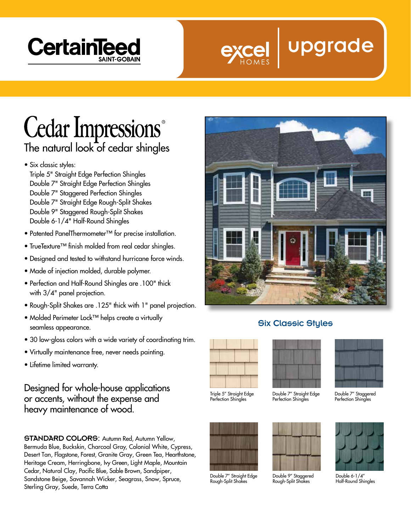



## **Cedar Impressions** The natural look of cedar shingles

- Six classic styles:
	- Triple 5" Straight Edge Perfection Shingles Double 7" Straight Edge Perfection Shingles Double 7" Staggered Perfection Shingles Double 7" Straight Edge Rough-Split Shakes Double 9" Staggered Rough-Split Shakes Double 6-1/4" Half-Round Shingles
- Patented PanelThermometer™ for precise installation.
- TrueTexture™ finish molded from real cedar shingles.
- Designed and tested to withstand hurricane force winds.
- Made of injection molded, durable polymer.
- Perfection and Half-Round Shingles are .100" thick with 3/4" panel projection.
- Rough-Split Shakes are .125" thick with 1" panel projection.
- Molded Perimeter Lock™ helps create a virtually seamless appearance.
- 30 low-gloss colors with a wide variety of coordinating trim.
- Virtually maintenance free, never needs painting.
- Lifetime limited warranty.

Designed for whole-house applications or accents, without the expense and heavy maintenance of wood.

STANDARD COLORS: Autumn Red, Autumn Yellow, Bermuda Blue, Buckskin, Charcoal Gray, Colonial White, Cypress, Desert Tan, Flagstone, Forest, Granite Gray, Green Tea, Hearthstone, Heritage Cream, Herringbone, Ivy Green, Light Maple, Mountain Cedar, Natural Clay, Pacific Blue, Sable Brown, Sandpiper, Sandstone Beige, Savannah Wicker, Seagrass, Snow, Spruce, Sterling Gray, Suede, Terra Cotta



#### Six Classic Styles



Triple 5" Straight Edge Perfection Shingles



Double 7" Straight Edge Rough-Split Shakes



Double 7" Straight Edge Perfection Shingles



Double 9" Staggered Rough-Split Shakes



Double 7" Staggered Perfection Shingles



Double 6-1/4" Half-Round Shingles